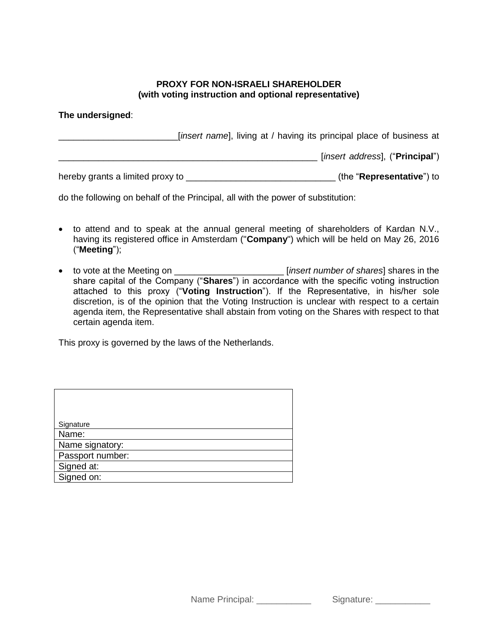## **PROXY FOR NON-ISRAELI SHAREHOLDER (with voting instruction and optional representative)**

## **The undersigned**:

\_\_\_\_\_\_\_\_\_\_\_\_\_\_\_\_\_\_\_\_\_\_\_\_[*insert name*], living at / having its principal place of business at \_\_\_\_\_\_\_\_\_\_\_\_\_\_\_\_\_\_\_\_\_\_\_\_\_\_\_\_\_\_\_\_\_\_\_\_\_\_\_\_\_\_\_\_\_\_\_\_\_\_\_\_ [*insert address*], ("**Principal**") hereby grants a limited proxy to \_\_\_\_\_\_\_\_\_\_\_\_\_\_\_\_\_\_\_\_\_\_\_\_\_\_\_\_\_\_ (the "**Representative**") to

do the following on behalf of the Principal, all with the power of substitution:

- to attend and to speak at the annual general meeting of shareholders of Kardan N.V., having its registered office in Amsterdam ("**Company**") which will be held on May 26, 2016 ("**Meeting**");
- to vote at the Meeting on \_\_\_\_\_\_\_\_\_\_\_\_\_\_\_\_\_\_\_\_\_\_ [*insert number of shares*] shares in the share capital of the Company ("**Shares**") in accordance with the specific voting instruction attached to this proxy ("**Voting Instruction**"). If the Representative, in his/her sole discretion, is of the opinion that the Voting Instruction is unclear with respect to a certain agenda item, the Representative shall abstain from voting on the Shares with respect to that certain agenda item.

This proxy is governed by the laws of the Netherlands.

| Signature        |
|------------------|
| Name:            |
| Name signatory:  |
| Passport number: |
| Signed at:       |
| Signed on:       |

Name Principal: \_\_\_\_\_\_\_\_\_\_\_\_\_ Signature: \_\_\_\_\_\_\_\_\_\_